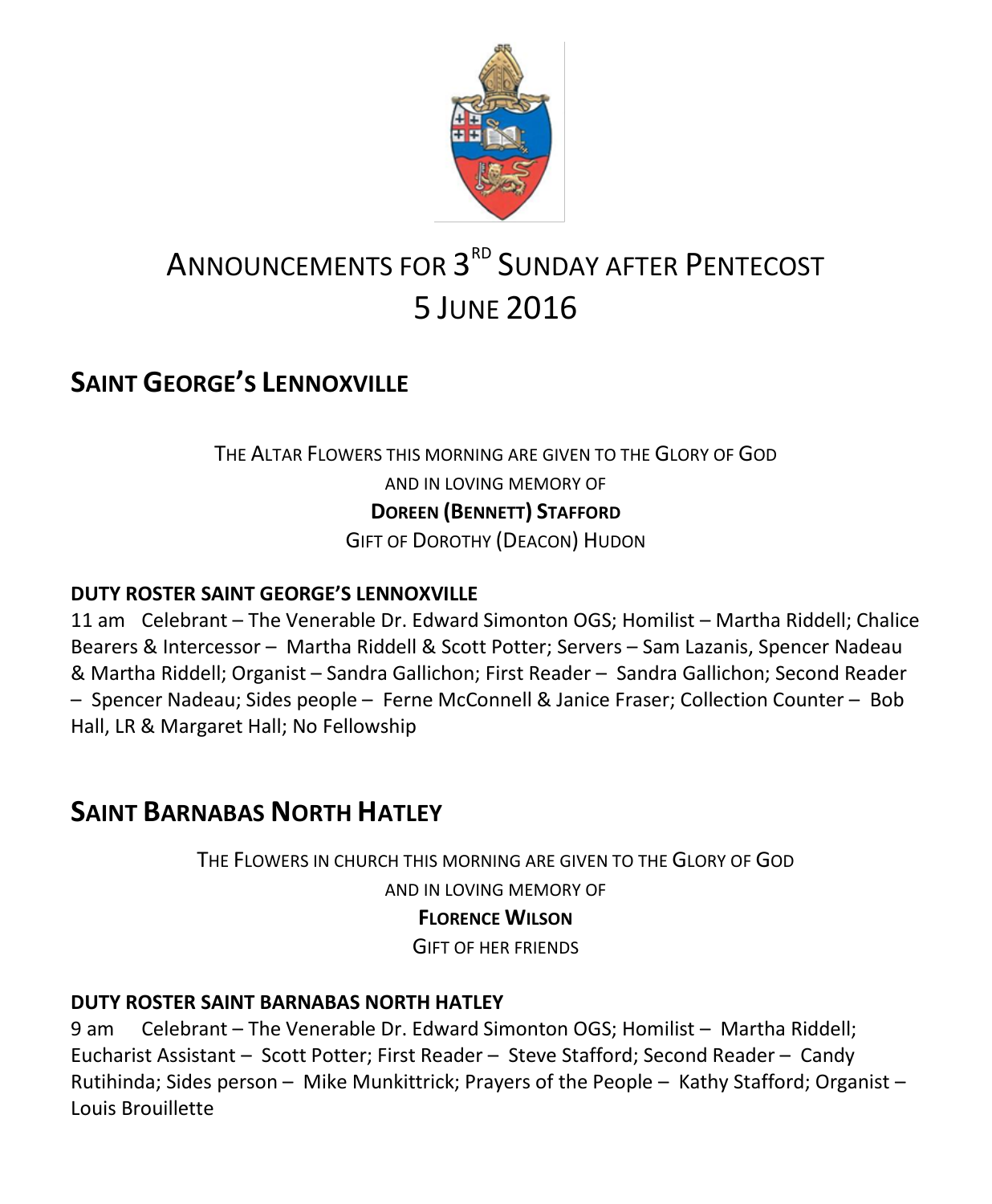

# ANNOUNCEMENTS FOR  $3^{\text{\tiny RD}}$  Sunday after <code>Pentecost</code> 5 JUNE 2016

# **SAINT GEORGE'S LENNOXVILLE**

### THE ALTAR FLOWERS THIS MORNING ARE GIVEN TO THE GLORY OF GOD AND IN LOVING MEMORY OF **DOREEN (BENNETT) STAFFORD** GIFT OF DOROTHY (DEACON) HUDON

### **DUTY ROSTER SAINT GEORGE'S LENNOXVILLE**

11 am Celebrant – The Venerable Dr. Edward Simonton OGS; Homilist – Martha Riddell; Chalice Bearers & Intercessor – Martha Riddell & Scott Potter; Servers – Sam Lazanis, Spencer Nadeau & Martha Riddell; Organist – Sandra Gallichon; First Reader – Sandra Gallichon; Second Reader – Spencer Nadeau; Sides people – Ferne McConnell & Janice Fraser; Collection Counter – Bob Hall, LR & Margaret Hall; No Fellowship

### **SAINT BARNABAS NORTH HATLEY**

THE FLOWERS IN CHURCH THIS MORNING ARE GIVEN TO THE GLORY OF GOD AND IN LOVING MEMORY OF **FLORENCE WILSON** GIFT OF HER FRIENDS

### **DUTY ROSTER SAINT BARNABAS NORTH HATLEY**

9 am Celebrant – The Venerable Dr. Edward Simonton OGS; Homilist – Martha Riddell; Eucharist Assistant – Scott Potter; First Reader – Steve Stafford; Second Reader – Candy Rutihinda; Sides person – Mike Munkittrick; Prayers of the People – Kathy Stafford; Organist – Louis Brouillette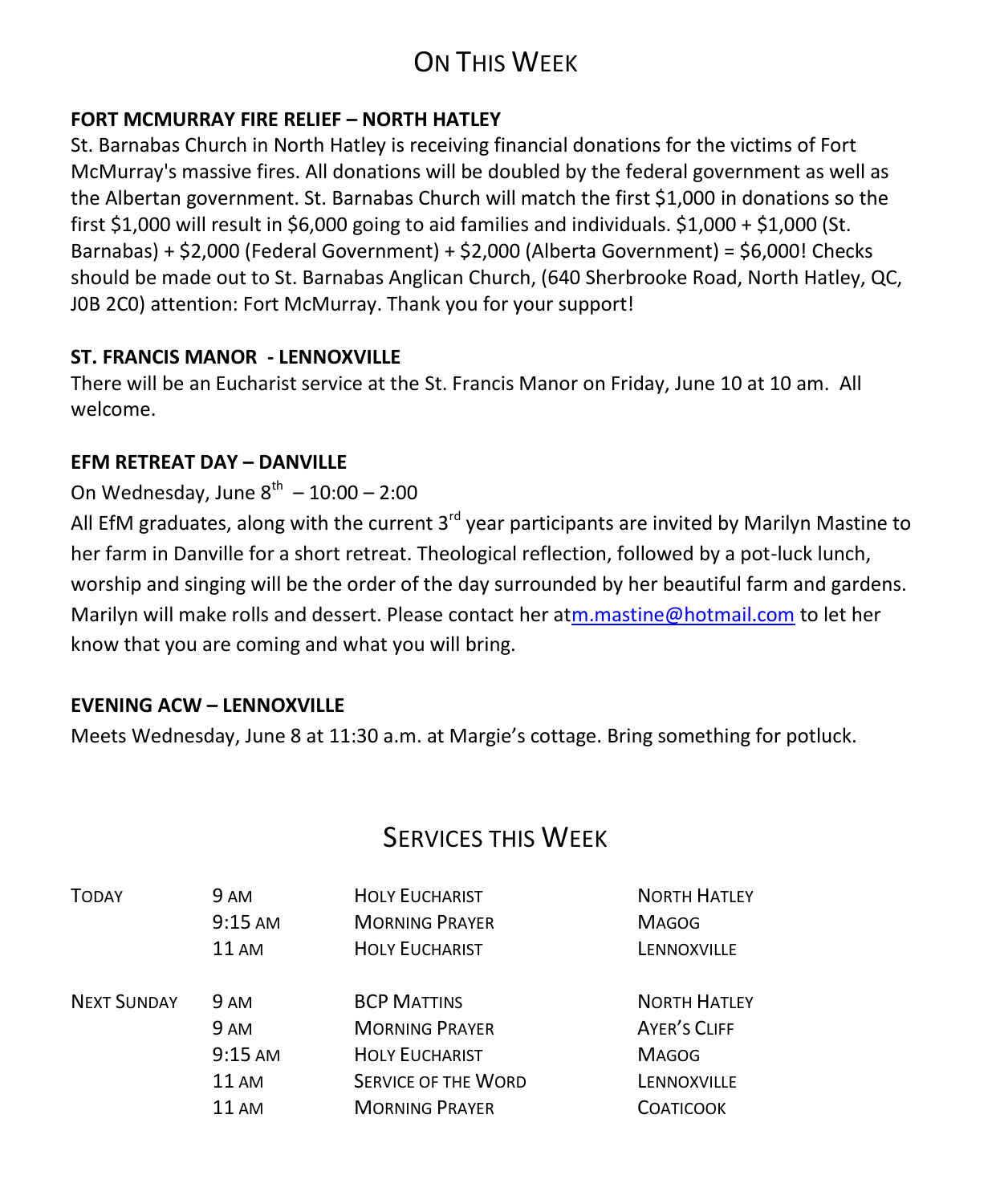# ON THIS WEEK

### **FORT MCMURRAY FIRE RELIEF – NORTH HATLEY**

St. Barnabas Church in North Hatley is receiving financial donations for the victims of Fort McMurray's massive fires. All donations will be doubled by the federal government as well as the Albertan government. St. Barnabas Church will match the first \$1,000 in donations so the first \$1,000 will result in \$6,000 going to aid families and individuals. \$1,000 + \$1,000 (St. Barnabas) + \$2,000 (Federal Government) + \$2,000 (Alberta Government) = \$6,000! Checks should be made out to St. Barnabas Anglican Church, (640 Sherbrooke Road, North Hatley, QC, J0B 2C0) attention: Fort McMurray. Thank you for your support!

### **ST. FRANCIS MANOR - LENNOXVILLE**

There will be an Eucharist service at the St. Francis Manor on Friday, June 10 at 10 am. All welcome.

### **EFM RETREAT DAY – DANVILLE**

### On Wednesday, June  $8^{th} - 10:00 - 2:00$

All EfM graduates, along with the current  $3<sup>rd</sup>$  year participants are invited by Marilyn Mastine to her farm in Danville for a short retreat. Theological reflection, followed by a pot-luck lunch, worship and singing will be the order of the day surrounded by her beautiful farm and gardens. Marilyn will make rolls and dessert. Please contact her a[tm.mastine@hotmail.com](https://webmail.ubishops.ca/owa/redir.aspx?REF=8147LuHr3iV9yF_kXRpttcN4Qlhhne6-0HPi7ANXLeWpXA3Y6IrTCAFodHRwczovL3dlYm1haWwudWJpc2hvcHMuY2Evb3dhL3JlZGlyLmFzcHg_UkVGPVcwVm55dmtKZ0dqUDMzRHg0UGN1V0ZVRmhNbWxCQVFKS1gyVWpnR0VHaUU1VXIwQ21ZVFRDQUZ0WVdsc2RHODZiUzV0WVhOMGFXNWxRR2h2ZEcxaGFXd3VZMjl0) to let her know that you are coming and what you will bring.

### **EVENING ACW – LENNOXVILLE**

Meets Wednesday, June 8 at 11:30 a.m. at Margie's cottage. Bring something for potluck.

### SERVICES THIS WEEK

| <b>TODAY</b>       | <b>9 AM</b>       | <b>HOLY EUCHARIST</b>      | <b>NORTH HATLEY</b> |
|--------------------|-------------------|----------------------------|---------------------|
|                    | 9:15 AM           | <b>MORNING PRAYER</b>      | <b>MAGOG</b>        |
|                    | <b>11 AM</b>      | <b>HOLY EUCHARIST</b>      | LENNOXVILLE         |
| <b>NEXT SUNDAY</b> | <b>9 AM</b>       | <b>BCP MATTINS</b>         | <b>NORTH HATLEY</b> |
|                    | 9 AM              | <b>MORNING PRAYER</b>      | <b>AYER'S CLIFF</b> |
|                    | $9:15 \text{ AM}$ | <b>HOLY EUCHARIST</b>      | <b>MAGOG</b>        |
|                    | <b>11 AM</b>      | <b>SERVICE OF THE WORD</b> | LENNOXVILLE         |
|                    | $11 \text{ AM}$   | <b>MORNING PRAYER</b>      | <b>COATICOOK</b>    |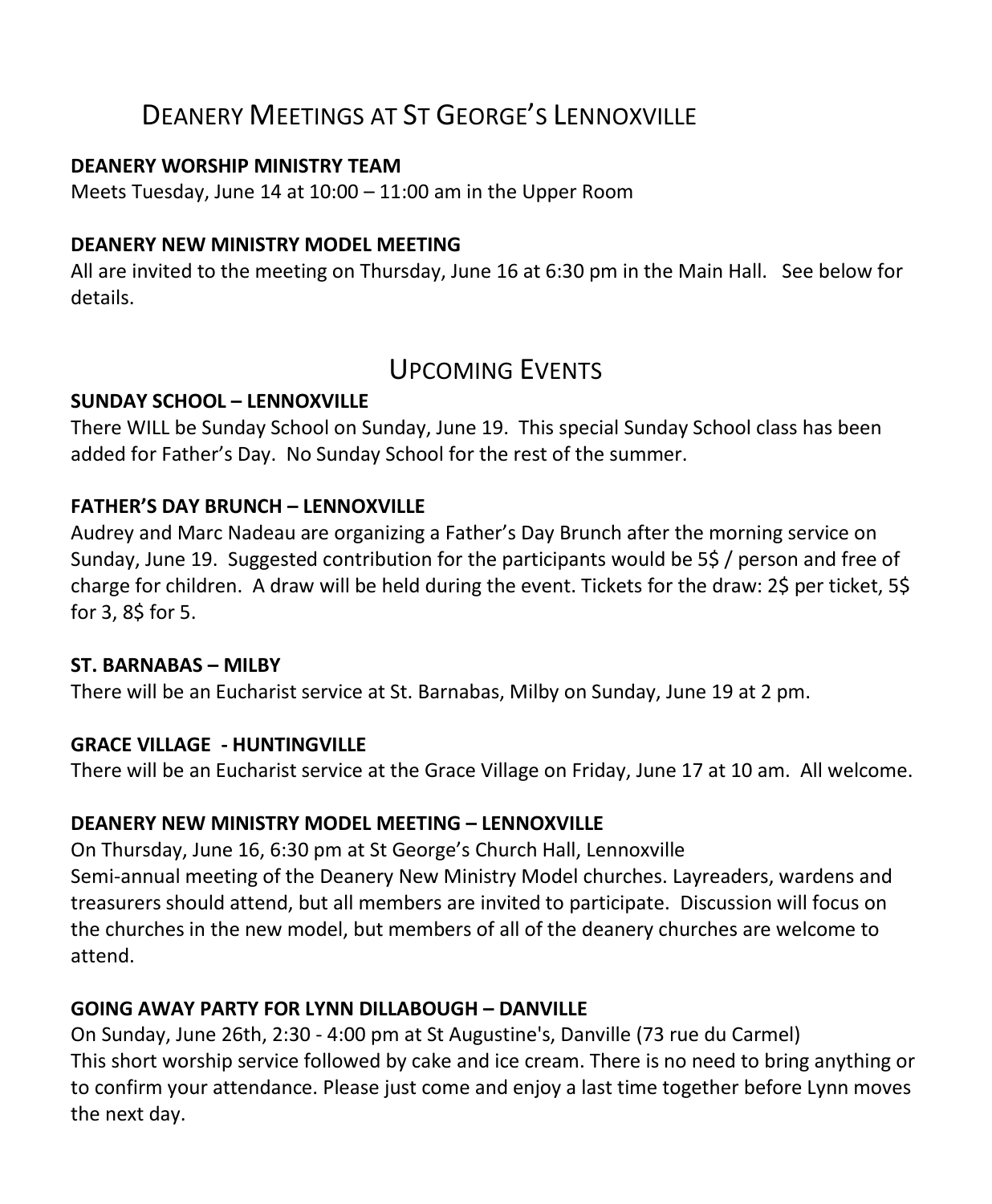### DEANERY MEETINGS AT ST GEORGE'S LENNOXVILLE

#### **DEANERY WORSHIP MINISTRY TEAM**

Meets Tuesday, June 14 at 10:00 – 11:00 am in the Upper Room

### **DEANERY NEW MINISTRY MODEL MEETING**

All are invited to the meeting on Thursday, June 16 at 6:30 pm in the Main Hall. See below for details.

### UPCOMING EVENTS

### **SUNDAY SCHOOL – LENNOXVILLE**

There WILL be Sunday School on Sunday, June 19. This special Sunday School class has been added for Father's Day. No Sunday School for the rest of the summer.

#### **FATHER'S DAY BRUNCH – LENNOXVILLE**

Audrey and Marc Nadeau are organizing a Father's Day Brunch after the morning service on Sunday, June 19. Suggested contribution for the participants would be 5\$ / person and free of charge for children. A draw will be held during the event. Tickets for the draw: 2\$ per ticket, 5\$ for 3, 8\$ for 5.

#### **ST. BARNABAS – MILBY**

There will be an Eucharist service at St. Barnabas, Milby on Sunday, June 19 at 2 pm.

### **GRACE VILLAGE - HUNTINGVILLE**

There will be an Eucharist service at the Grace Village on Friday, June 17 at 10 am. All welcome.

### **DEANERY NEW MINISTRY MODEL MEETING – LENNOXVILLE**

On Thursday, June 16, 6:30 pm at St George's Church Hall, Lennoxville Semi-annual meeting of the Deanery New Ministry Model churches. Layreaders, wardens and treasurers should attend, but all members are invited to participate. Discussion will focus on the churches in the new model, but members of all of the deanery churches are welcome to attend.

### **GOING AWAY PARTY FOR LYNN DILLABOUGH – DANVILLE**

On Sunday, June 26th, 2:30 - 4:00 pm at St Augustine's, Danville (73 rue du Carmel) This short worship service followed by cake and ice cream. There is no need to bring anything or to confirm your attendance. Please just come and enjoy a last time together before Lynn moves the next day.